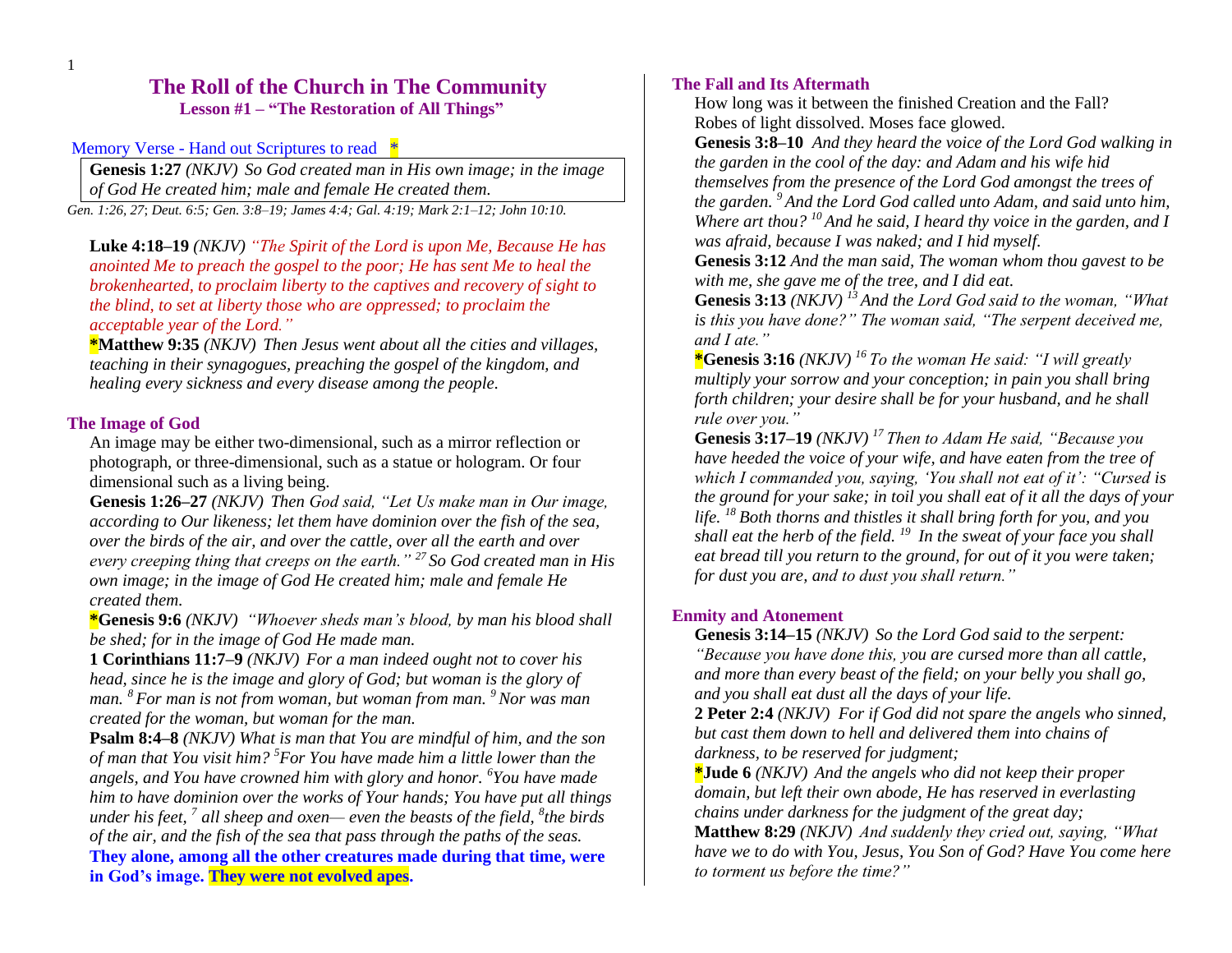# **The Roll of the Church in The Community Lesson #1 – "The Restoration of All Things"**

Memory Verse - Hand out Scriptures to read  $*$ 

**Genesis 1:27** *(NKJV) So God created man in His own image; in the image of God He created him; male and female He created them.*

*Gen. 1:26, 27*; *Deut. 6:5; Gen. 3:8–19; James 4:4; Gal. 4:19; Mark 2:1–12; John 10:10.*

**Luke 4:18–19** *(NKJV) "The Spirit of the Lord is upon Me, Because He has anointed Me to preach the gospel to the poor; He has sent Me to heal the brokenhearted, to proclaim liberty to the captives and recovery of sight to the blind, to set at liberty those who are oppressed; to proclaim the acceptable year of the Lord."*

**\*Matthew 9:35** *(NKJV) Then Jesus went about all the cities and villages, teaching in their synagogues, preaching the gospel of the kingdom, and healing every sickness and every disease among the people.* 

#### **The Image of God**

An image may be either two-dimensional, such as a mirror reflection or photograph, or three-dimensional, such as a statue or hologram. Or four dimensional such as a living being.

**Genesis 1:26–27** *(NKJV) Then God said, "Let Us make man in Our image, according to Our likeness; let them have dominion over the fish of the sea, over the birds of the air, and over the cattle, over all the earth and over every creeping thing that creeps on the earth." <sup>27</sup> So God created man in His own image; in the image of God He created him; male and female He created them.* 

**\*Genesis 9:6** *(NKJV) "Whoever sheds man's blood, by man his blood shall be shed; for in the image of God He made man.* 

**1 Corinthians 11:7–9** *(NKJV) For a man indeed ought not to cover his head, since he is the image and glory of God; but woman is the glory of man. <sup>8</sup> For man is not from woman, but woman from man. <sup>9</sup>Nor was man created for the woman, but woman for the man.* 

**Psalm 8:4–8** *(NKJV) What is man that You are mindful of him, and the son of man that You visit him? <sup>5</sup>For You have made him a little lower than the angels, and You have crowned him with glory and honor. <sup>6</sup>You have made him to have dominion over the works of Your hands; You have put all things under his feet, <sup>7</sup> all sheep and oxen— even the beasts of the field, <sup>8</sup> the birds of the air, and the fish of the sea that pass through the paths of the seas.*  **They alone, among all the other creatures made during that time, were in God's image. They were not evolved apes.**

### **The Fall and Its Aftermath**

How long was it between the finished Creation and the Fall? Robes of light dissolved. Moses face glowed.

**Genesis 3:8–10** *And they heard the voice of the Lord God walking in the garden in the cool of the day: and Adam and his wife hid themselves from the presence of the Lord God amongst the trees of the garden. <sup>9</sup> And the Lord God called unto Adam, and said unto him, Where art thou? <sup>10</sup> And he said, I heard thy voice in the garden, and I was afraid, because I was naked; and I hid myself.* 

**Genesis 3:12** *And the man said, The woman whom thou gavest to be with me, she gave me of the tree, and I did eat.* 

**Genesis 3:13** *(NKJV) <sup>13</sup> And the Lord God said to the woman, "What is this you have done?" The woman said, "The serpent deceived me, and I ate."* 

**\*Genesis 3:16** *(NKJV) <sup>16</sup> To the woman He said: "I will greatly multiply your sorrow and your conception; in pain you shall bring forth children; your desire shall be for your husband, and he shall rule over you."* 

**Genesis 3:17–19** *(NKJV) <sup>17</sup> Then to Adam He said, "Because you have heeded the voice of your wife, and have eaten from the tree of which I commanded you, saying, 'You shall not eat of it': "Cursed is the ground for your sake; in toil you shall eat of it all the days of your life. <sup>18</sup> Both thorns and thistles it shall bring forth for you, and you shall eat the herb of the field. <sup>19</sup> In the sweat of your face you shall eat bread till you return to the ground, for out of it you were taken; for dust you are, and to dust you shall return."* 

#### **Enmity and Atonement**

**Genesis 3:14–15** *(NKJV) So the Lord God said to the serpent: "Because you have done this, you are cursed more than all cattle, and more than every beast of the field; on your belly you shall go, and you shall eat dust all the days of your life.*

**2 Peter 2:4** *(NKJV) For if God did not spare the angels who sinned, but cast them down to hell and delivered them into chains of darkness, to be reserved for judgment;* 

**\*Jude 6** *(NKJV) And the angels who did not keep their proper domain, but left their own abode, He has reserved in everlasting chains under darkness for the judgment of the great day;* 

**Matthew 8:29** *(NKJV) And suddenly they cried out, saying, "What have we to do with You, Jesus, You Son of God? Have You come here to torment us before the time?"*